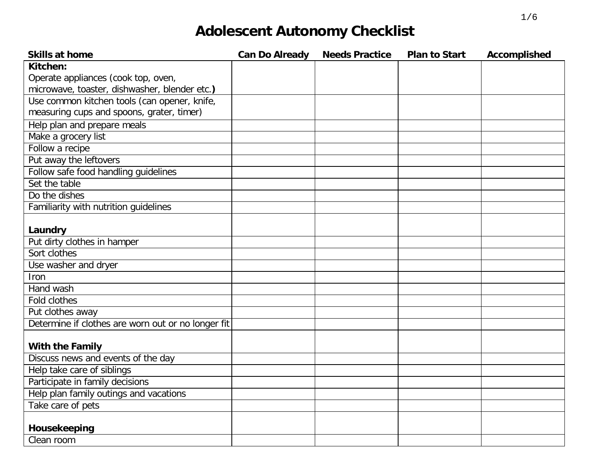| <b>Skills at home</b>                              | <b>Can Do Already</b> | <b>Needs Practice</b> | <b>Plan to Start</b> | <b>Accomplished</b> |
|----------------------------------------------------|-----------------------|-----------------------|----------------------|---------------------|
| Kitchen:                                           |                       |                       |                      |                     |
| Operate appliances (cook top, oven,                |                       |                       |                      |                     |
| microwave, toaster, dishwasher, blender etc.)      |                       |                       |                      |                     |
| Use common kitchen tools (can opener, knife,       |                       |                       |                      |                     |
| measuring cups and spoons, grater, timer)          |                       |                       |                      |                     |
| Help plan and prepare meals                        |                       |                       |                      |                     |
| Make a grocery list                                |                       |                       |                      |                     |
| Follow a recipe                                    |                       |                       |                      |                     |
| Put away the leftovers                             |                       |                       |                      |                     |
| Follow safe food handling guidelines               |                       |                       |                      |                     |
| Set the table                                      |                       |                       |                      |                     |
| Do the dishes                                      |                       |                       |                      |                     |
| Familiarity with nutrition guidelines              |                       |                       |                      |                     |
|                                                    |                       |                       |                      |                     |
| Laundry                                            |                       |                       |                      |                     |
| Put dirty clothes in hamper                        |                       |                       |                      |                     |
| Sort clothes                                       |                       |                       |                      |                     |
| Use washer and dryer                               |                       |                       |                      |                     |
| <b>Iron</b>                                        |                       |                       |                      |                     |
| Hand wash                                          |                       |                       |                      |                     |
| <b>Fold clothes</b>                                |                       |                       |                      |                     |
| Put clothes away                                   |                       |                       |                      |                     |
| Determine if clothes are worn out or no longer fit |                       |                       |                      |                     |
|                                                    |                       |                       |                      |                     |
| With the Family                                    |                       |                       |                      |                     |
| Discuss news and events of the day                 |                       |                       |                      |                     |
| Help take care of siblings                         |                       |                       |                      |                     |
| Participate in family decisions                    |                       |                       |                      |                     |
| Help plan family outings and vacations             |                       |                       |                      |                     |
| Take care of pets                                  |                       |                       |                      |                     |
|                                                    |                       |                       |                      |                     |
| Housekeeping                                       |                       |                       |                      |                     |
| Clean room                                         |                       |                       |                      |                     |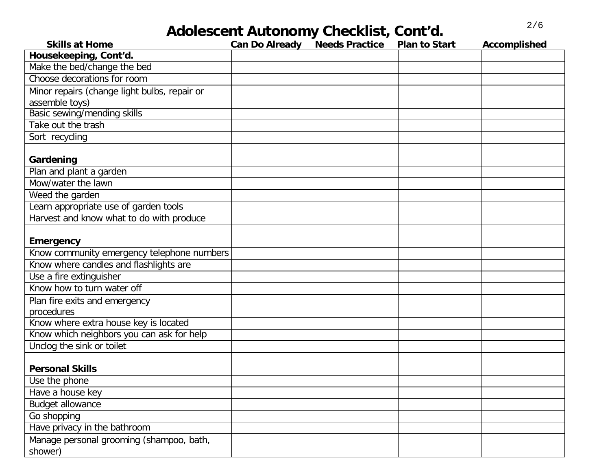# 2/6 **Adolescent Autonomy Checklist, Cont'd.**

| <b>Skills at Home</b>                        | <b>Can Do Already</b> | <b>Needs Practice</b> | <b>Plan to Start</b> | Accomplished |
|----------------------------------------------|-----------------------|-----------------------|----------------------|--------------|
| Housekeeping, Cont'd.                        |                       |                       |                      |              |
| Make the bed/change the bed                  |                       |                       |                      |              |
| Choose decorations for room                  |                       |                       |                      |              |
| Minor repairs (change light bulbs, repair or |                       |                       |                      |              |
| assemble toys)                               |                       |                       |                      |              |
| Basic sewing/mending skills                  |                       |                       |                      |              |
| Take out the trash                           |                       |                       |                      |              |
| Sort recycling                               |                       |                       |                      |              |
|                                              |                       |                       |                      |              |
| Gardening                                    |                       |                       |                      |              |
| Plan and plant a garden                      |                       |                       |                      |              |
| Mow/water the lawn                           |                       |                       |                      |              |
| Weed the garden                              |                       |                       |                      |              |
| Learn appropriate use of garden tools        |                       |                       |                      |              |
| Harvest and know what to do with produce     |                       |                       |                      |              |
|                                              |                       |                       |                      |              |
| <b>Emergency</b>                             |                       |                       |                      |              |
| Know community emergency telephone numbers   |                       |                       |                      |              |
| Know where candles and flashlights are       |                       |                       |                      |              |
| Use a fire extinguisher                      |                       |                       |                      |              |
| Know how to turn water off                   |                       |                       |                      |              |
| Plan fire exits and emergency                |                       |                       |                      |              |
| procedures                                   |                       |                       |                      |              |
| Know where extra house key is located        |                       |                       |                      |              |
| Know which neighbors you can ask for help    |                       |                       |                      |              |
| Unclog the sink or toilet                    |                       |                       |                      |              |
|                                              |                       |                       |                      |              |
| <b>Personal Skills</b>                       |                       |                       |                      |              |
| Use the phone                                |                       |                       |                      |              |
| Have a house key                             |                       |                       |                      |              |
| <b>Budget allowance</b>                      |                       |                       |                      |              |
| Go shopping                                  |                       |                       |                      |              |
| Have privacy in the bathroom                 |                       |                       |                      |              |
| Manage personal grooming (shampoo, bath,     |                       |                       |                      |              |
| shower)                                      |                       |                       |                      |              |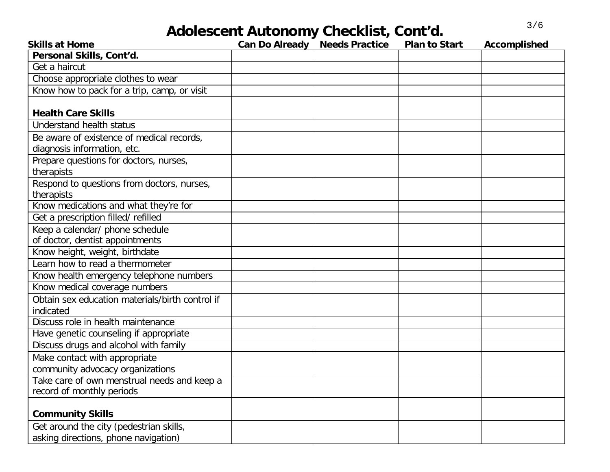## 3/6 **Adolescent Autonomy Checklist, Cont'd.**

| <b>Skills at Home</b>                           | <b>Can Do Already Needs Practice</b> | <b>Plan to Start</b> | Accomplished |
|-------------------------------------------------|--------------------------------------|----------------------|--------------|
| Personal Skills, Cont'd.                        |                                      |                      |              |
| Get a haircut                                   |                                      |                      |              |
| Choose appropriate clothes to wear              |                                      |                      |              |
| Know how to pack for a trip, camp, or visit     |                                      |                      |              |
|                                                 |                                      |                      |              |
| <b>Health Care Skills</b>                       |                                      |                      |              |
| <b>Understand health status</b>                 |                                      |                      |              |
| Be aware of existence of medical records,       |                                      |                      |              |
| diagnosis information, etc.                     |                                      |                      |              |
| Prepare questions for doctors, nurses,          |                                      |                      |              |
| therapists                                      |                                      |                      |              |
| Respond to questions from doctors, nurses,      |                                      |                      |              |
| therapists                                      |                                      |                      |              |
| Know medications and what they're for           |                                      |                      |              |
| Get a prescription filled/refilled              |                                      |                      |              |
| Keep a calendar/ phone schedule                 |                                      |                      |              |
| of doctor, dentist appointments                 |                                      |                      |              |
| Know height, weight, birthdate                  |                                      |                      |              |
| Learn how to read a thermometer                 |                                      |                      |              |
| Know health emergency telephone numbers         |                                      |                      |              |
| Know medical coverage numbers                   |                                      |                      |              |
| Obtain sex education materials/birth control if |                                      |                      |              |
| indicated                                       |                                      |                      |              |
| Discuss role in health maintenance              |                                      |                      |              |
| Have genetic counseling if appropriate          |                                      |                      |              |
| Discuss drugs and alcohol with family           |                                      |                      |              |
| Make contact with appropriate                   |                                      |                      |              |
| community advocacy organizations                |                                      |                      |              |
| Take care of own menstrual needs and keep a     |                                      |                      |              |
| record of monthly periods                       |                                      |                      |              |
|                                                 |                                      |                      |              |
| <b>Community Skills</b>                         |                                      |                      |              |
| Get around the city (pedestrian skills,         |                                      |                      |              |
| asking directions, phone navigation)            |                                      |                      |              |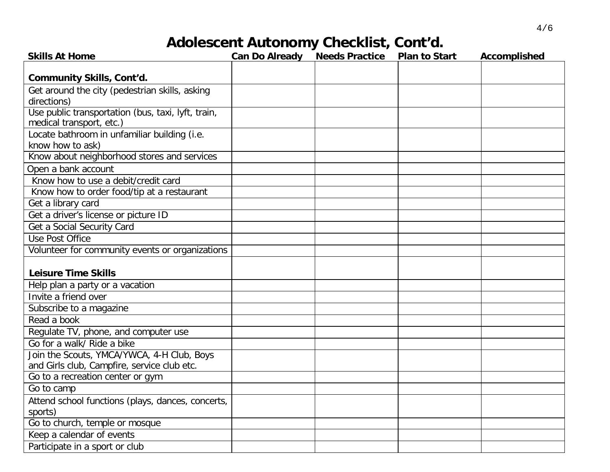### **Adolescent Autonomy Checklist, Cont'd.**

| <b>Skills At Home</b>                              | <b>Can Do Already Needs Practice</b> | <b>Plan to Start</b> | Accomplished |
|----------------------------------------------------|--------------------------------------|----------------------|--------------|
| <b>Community Skills, Cont'd.</b>                   |                                      |                      |              |
| Get around the city (pedestrian skills, asking     |                                      |                      |              |
| directions)                                        |                                      |                      |              |
| Use public transportation (bus, taxi, lyft, train, |                                      |                      |              |
| medical transport, etc.)                           |                                      |                      |              |
| Locate bathroom in unfamiliar building (i.e.       |                                      |                      |              |
| know how to ask)                                   |                                      |                      |              |
| Know about neighborhood stores and services        |                                      |                      |              |
| Open a bank account                                |                                      |                      |              |
| Know how to use a debit/credit card                |                                      |                      |              |
| Know how to order food/tip at a restaurant         |                                      |                      |              |
| Get a library card                                 |                                      |                      |              |
| Get a driver's license or picture ID               |                                      |                      |              |
| Get a Social Security Card                         |                                      |                      |              |
| <b>Use Post Office</b>                             |                                      |                      |              |
| Volunteer for community events or organizations    |                                      |                      |              |
|                                                    |                                      |                      |              |
| <b>Leisure Time Skills</b>                         |                                      |                      |              |
| Help plan a party or a vacation                    |                                      |                      |              |
| Invite a friend over                               |                                      |                      |              |
| Subscribe to a magazine                            |                                      |                      |              |
| Read a book                                        |                                      |                      |              |
| Regulate TV, phone, and computer use               |                                      |                      |              |
| Go for a walk/ Ride a bike                         |                                      |                      |              |
| Join the Scouts, YMCA/YWCA, 4-H Club, Boys         |                                      |                      |              |
| and Girls club, Campfire, service club etc.        |                                      |                      |              |
| Go to a recreation center or gym                   |                                      |                      |              |
| Go to camp                                         |                                      |                      |              |
| Attend school functions (plays, dances, concerts,  |                                      |                      |              |
| sports)                                            |                                      |                      |              |
| Go to church, temple or mosque                     |                                      |                      |              |
| Keep a calendar of events                          |                                      |                      |              |
| Participate in a sport or club                     |                                      |                      |              |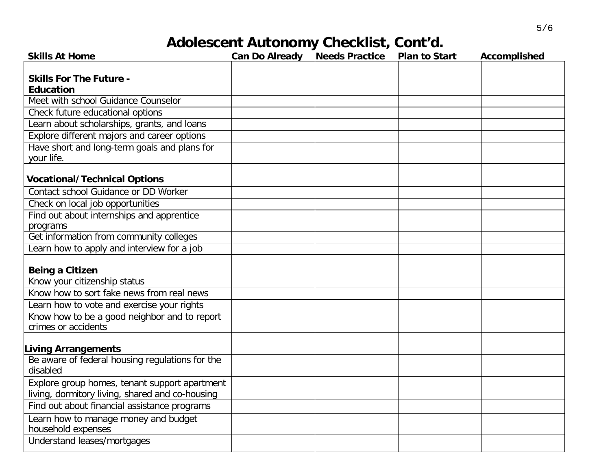### **Adolescent Autonomy Checklist, Cont'd.**

| <b>Skills At Home</b>                                       | <b>Can Do Already Needs Practice</b> | <b>Plan to Start</b> | <b>Accomplished</b> |
|-------------------------------------------------------------|--------------------------------------|----------------------|---------------------|
|                                                             |                                      |                      |                     |
| <b>Skills For The Future -</b>                              |                                      |                      |                     |
| <b>Education</b>                                            |                                      |                      |                     |
| Meet with school Guidance Counselor                         |                                      |                      |                     |
| Check future educational options                            |                                      |                      |                     |
| Learn about scholarships, grants, and loans                 |                                      |                      |                     |
| Explore different majors and career options                 |                                      |                      |                     |
| Have short and long-term goals and plans for                |                                      |                      |                     |
| your life.                                                  |                                      |                      |                     |
| <b>Vocational/Technical Options</b>                         |                                      |                      |                     |
| Contact school Guidance or DD Worker                        |                                      |                      |                     |
| Check on local job opportunities                            |                                      |                      |                     |
| Find out about internships and apprentice                   |                                      |                      |                     |
| programs                                                    |                                      |                      |                     |
| Get information from community colleges                     |                                      |                      |                     |
| Learn how to apply and interview for a job                  |                                      |                      |                     |
|                                                             |                                      |                      |                     |
| <b>Being a Citizen</b>                                      |                                      |                      |                     |
| Know your citizenship status                                |                                      |                      |                     |
| Know how to sort fake news from real news                   |                                      |                      |                     |
| Learn how to vote and exercise your rights                  |                                      |                      |                     |
| Know how to be a good neighbor and to report                |                                      |                      |                     |
| crimes or accidents                                         |                                      |                      |                     |
| <b>Living Arrangements</b>                                  |                                      |                      |                     |
| Be aware of federal housing regulations for the<br>disabled |                                      |                      |                     |
|                                                             |                                      |                      |                     |
| Explore group homes, tenant support apartment               |                                      |                      |                     |
| living, dormitory living, shared and co-housing             |                                      |                      |                     |
| Find out about financial assistance programs                |                                      |                      |                     |
| Learn how to manage money and budget                        |                                      |                      |                     |
| household expenses                                          |                                      |                      |                     |
| Understand leases/mortgages                                 |                                      |                      |                     |